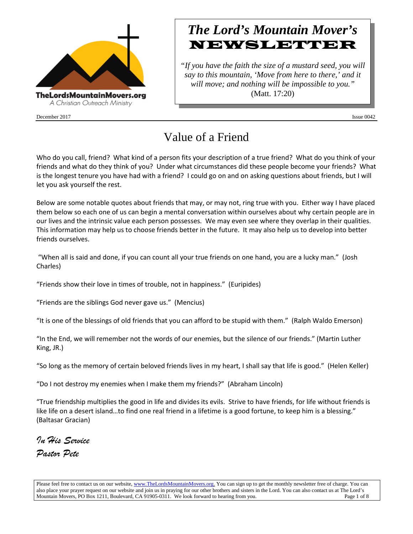

December 2017 **Issue 0042** 

# *The Lord's Mountain Mover's* NEWSLETTER

*"If you have the faith the size of a mustard seed, you will say to this mountain, 'Move from here to there,' and it will move; and nothing will be impossible to you."* (Matt. 17:20)

# Value of a Friend

Who do you call, friend? What kind of a person fits your description of a true friend? What do you think of your friends and what do they think of you? Under what circumstances did these people become your friends? What is the longest tenure you have had with a friend? I could go on and on asking questions about friends, but I will let you ask yourself the rest.

Below are some notable quotes about friends that may, or may not, ring true with you. Either way I have placed them below so each one of us can begin a mental conversation within ourselves about why certain people are in our lives and the intrinsic value each person possesses. We may even see where they overlap in their qualities. This information may help us to choose friends better in the future. It may also help us to develop into better friends ourselves.

"When all is said and done, if you can count all your true friends on one hand, you are a lucky man." (Josh Charles)

"Friends show their love in times of trouble, not in happiness." (Euripides)

"Friends are the siblings God never gave us." (Mencius)

"It is one of the blessings of old friends that you can afford to be stupid with them." (Ralph Waldo Emerson)

"In the End, we will remember not the words of our enemies, but the silence of our friends." (Martin Luther King, JR.)

"So long as the memory of certain beloved friends lives in my heart, I shall say that life is good." (Helen Keller)

"Do I not destroy my enemies when I make them my friends?" (Abraham Lincoln)

"True friendship multiplies the good in life and divides its evils. Strive to have friends, for life without friends is like life on a desert island…to find one real friend in a lifetime is a good fortune, to keep him is a blessing." (Baltasar Gracian)

*In His Service Pastor Pete*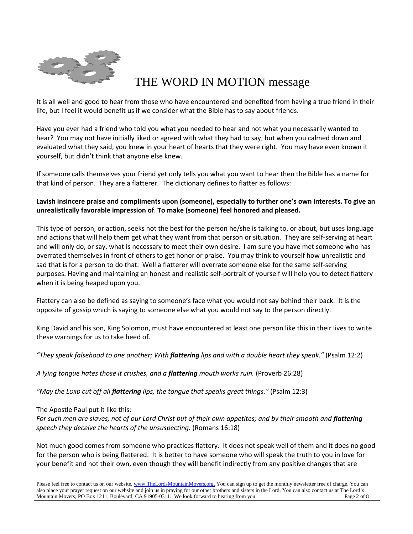

# THE WORD IN MOTION message

It is all well and good to hear from those who have encountered and benefited from having a true friend in their life, but I feel it would benefit us if we consider what the Bible has to say about friends.

Have you ever had a friend who told you what you needed to hear and not what you necessarily wanted to hear? You may not have initially liked or agreed with what they had to say, but when you calmed down and evaluated what they said, you knew in your heart of hearts that they were right. You may have even known it yourself, but didn't think that anyone else knew.

If someone calls themselves your friend yet only tells you what you want to hear then the Bible has a name for that kind of person. They are a flatterer. The dictionary defines to flatter as follows:

#### **Lavish insincere praise and compliments upon (someone), especially to further one's own interests. To give an unrealistically favorable impression of**. **To make (someone) feel honored and pleased.**

This type of person, or action, seeks not the best for the person he/she is talking to, or about, but uses language and actions that will help them get what they want from that person or situation. They are self-serving at heart and will only do, or say, what is necessary to meet their own desire. I am sure you have met someone who has overrated themselves in front of others to get honor or praise. You may think to yourself how unrealistic and sad that is for a person to do that. Well a flatterer will overrate someone else for the same self-serving purposes. Having and maintaining an honest and realistic self-portrait of yourself will help you to detect flattery when it is being heaped upon you.

Flattery can also be defined as saying to someone's face what you would not say behind their back. It is the opposite of gossip which is saying to someone else what you would not say to the person directly.

King David and his son, King Solomon, must have encountered at least one person like this in their lives to write these warnings for us to take heed of.

*"They speak falsehood to one another; With flattering lips and with a double heart they speak."* (Psalm 12:2)

*A lying tongue hates those it crushes, and a flattering mouth works ruin.* (Proverb 26:28)

*"May the LORD cut off all flattering lips, the tongue that speaks great things."* (Psalm 12:3)

The Apostle Paul put it like this:

*For such men are slaves, not of our Lord Christ but of their own appetites; and by their smooth and flattering speech they deceive the hearts of the unsuspecting.* (Romans 16:18)

Not much good comes from someone who practices flattery. It does not speak well of them and it does no good for the person who is being flattered. It is better to have someone who will speak the truth to you in love for your benefit and not their own, even though they will benefit indirectly from any positive changes that are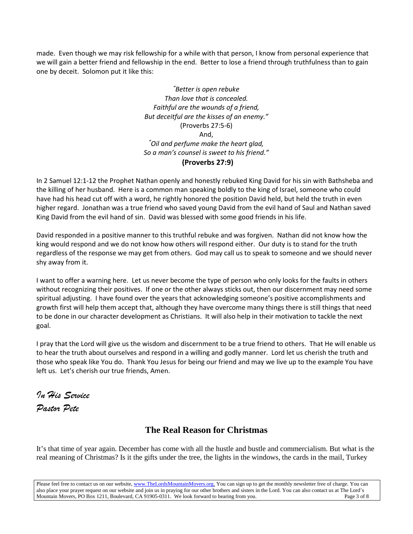made. Even though we may risk fellowship for a while with that person, I know from personal experience that we will gain a better friend and fellowship in the end. Better to lose a friend through truthfulness than to gain one by deceit. Solomon put it like this:

> *" Better is open rebuke Than love that is concealed. Faithful are the wounds of a friend, But deceitful are the kisses of an enemy."* (Proverbs 27:5-6) And, *" Oil and perfume make the heart glad, So a man's counsel is sweet to his friend."* **(Proverbs 27:9)**

In 2 Samuel 12:1-12 the Prophet Nathan openly and honestly rebuked King David for his sin with Bathsheba and the killing of her husband. Here is a common man speaking boldly to the king of Israel, someone who could have had his head cut off with a word, he rightly honored the position David held, but held the truth in even higher regard. Jonathan was a true friend who saved young David from the evil hand of Saul and Nathan saved King David from the evil hand of sin. David was blessed with some good friends in his life.

David responded in a positive manner to this truthful rebuke and was forgiven. Nathan did not know how the king would respond and we do not know how others will respond either. Our duty is to stand for the truth regardless of the response we may get from others. God may call us to speak to someone and we should never shy away from it.

I want to offer a warning here. Let us never become the type of person who only looks for the faults in others without recognizing their positives. If one or the other always sticks out, then our discernment may need some spiritual adjusting. I have found over the years that acknowledging someone's positive accomplishments and growth first will help them accept that, although they have overcome many things there is still things that need to be done in our character development as Christians. It will also help in their motivation to tackle the next goal.

I pray that the Lord will give us the wisdom and discernment to be a true friend to others. That He will enable us to hear the truth about ourselves and respond in a willing and godly manner. Lord let us cherish the truth and those who speak like You do. Thank You Jesus for being our friend and may we live up to the example You have left us. Let's cherish our true friends, Amen.

*In His Service Pastor Pete*

### **The Real Reason for Christmas**

It's that time of year again. December has come with all the hustle and bustle and commercialism. But what is the real meaning of Christmas? Is it the gifts under the tree, the lights in the windows, the cards in the mail, Turkey

Please feel free to contact us on our website, ww[w.TheLordsMountainMovers.o](http://www.thelordsmountainmovers.org/)rg. You can sign up to get the monthly newsletter free of charge. You can also place your prayer request on our website and join us in praying for our other brothers and sisters in the Lord. You can also contact us at The Lord's Mountain Movers, PO Box 1211, Boulevard, CA 91905-0311. We look forward to hearing from you. Page 3 of 8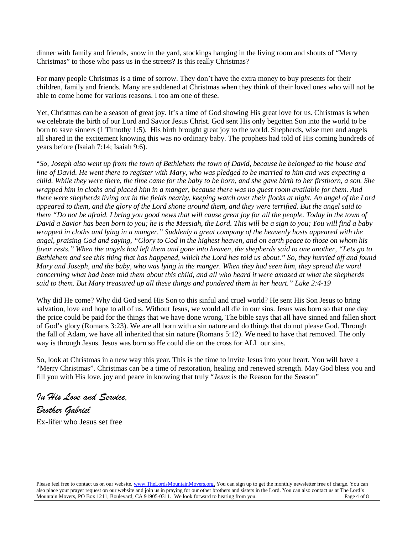dinner with family and friends, snow in the yard, stockings hanging in the living room and shouts of "Merry Christmas" to those who pass us in the streets? Is this really Christmas?

For many people Christmas is a time of sorrow. They don't have the extra money to buy presents for their children, family and friends. Many are saddened at Christmas when they think of their loved ones who will not be able to come home for various reasons. I too am one of these.

Yet, Christmas can be a season of great joy. It's a time of God showing His great love for us. Christmas is when we celebrate the birth of our Lord and Savior Jesus Christ. God sent His only begotten Son into the world to be born to save sinners (1 Timothy 1:5). His birth brought great joy to the world. Shepherds, wise men and angels all shared in the excitement knowing this was no ordinary baby. The prophets had told of His coming hundreds of years before (Isaiah 7:14; Isaiah 9:6).

"*So, Joseph also went up from the town of Bethlehem the town of David, because he belonged to the house and line of David. He went there to register with Mary, who was pledged to be married to him and was expecting a child. While they were there, the time came for the baby to be born, and she gave birth to her firstborn, a son. She wrapped him in cloths and placed him in a manger, because there was no guest room available for them. And there were shepherds living out in the fields nearby, keeping watch over their flocks at night. An angel of the Lord appeared to them, and the glory of the Lord shone around them, and they were terrified. But the angel said to them "Do not be afraid. I bring you good news that will cause great joy for all the people. Today in the town of David a Savior has been born to you; he is the Messiah, the Lord. This will be a sign to you; You will find a baby wrapped in cloths and lying in a manger." Suddenly a great company of the heavenly hosts appeared with the angel, praising God and saying, "Glory to God in the highest heaven, and on earth peace to those on whom his favor rests." When the angels had left them and gone into heaven, the shepherds said to one another, "Lets go to Bethlehem and see this thing that has happened, which the Lord has told us about." So, they hurried off and found Mary and Joseph, and the baby, who was lying in the manger. When they had seen him, they spread the word concerning what had been told them about this child, and all who heard it were amazed at what the shepherds said to them. But Mary treasured up all these things and pondered them in her heart." Luke 2:4-19*

Why did He come? Why did God send His Son to this sinful and cruel world? He sent His Son Jesus to bring salvation, love and hope to all of us. Without Jesus, we would all die in our sins. Jesus was born so that one day the price could be paid for the things that we have done wrong. The bible says that all have sinned and fallen short of God's glory (Romans 3:23). We are all born with a sin nature and do things that do not please God. Through the fall of Adam, we have all inherited that sin nature (Romans 5:12). We need to have that removed. The only way is through Jesus. Jesus was born so He could die on the cross for ALL our sins.

So, look at Christmas in a new way this year. This is the time to invite Jesus into your heart. You will have a "Merry Christmas". Christmas can be a time of restoration, healing and renewed strength. May God bless you and fill you with His love, joy and peace in knowing that truly "*Jesus* is the Reason for the Season"

## *In His Love and Service,*

*Brother Gabriel* Ex-lifer who Jesus set free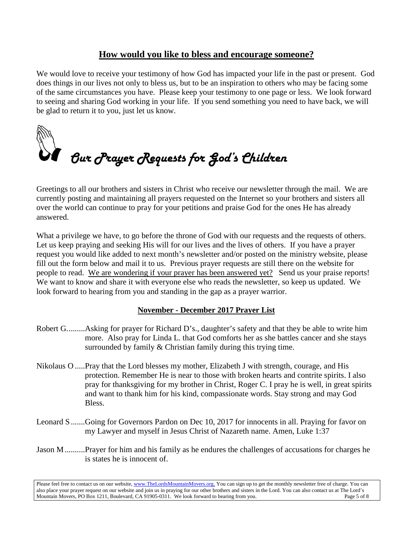## **How would you like to bless and encourage someone?**

We would love to receive your testimony of how God has impacted your life in the past or present. God does things in our lives not only to bless us, but to be an inspiration to others who may be facing some of the same circumstances you have. Please keep your testimony to one page or less. We look forward to seeing and sharing God working in your life. If you send something you need to have back, we will be glad to return it to you, just let us know.



Greetings to all our brothers and sisters in Christ who receive our newsletter through the mail. We are currently posting and maintaining all prayers requested on the Internet so your brothers and sisters all over the world can continue to pray for your petitions and praise God for the ones He has already answered.

What a privilege we have, to go before the throne of God with our requests and the requests of others. Let us keep praying and seeking His will for our lives and the lives of others. If you have a prayer request you would like added to next month's newsletter and/or posted on the ministry website, please fill out the form below and mail it to us. Previous prayer requests are still there on the website for people to read. We are wondering if your prayer has been answered yet? Send us your praise reports! We want to know and share it with everyone else who reads the newsletter, so keep us updated. We look forward to hearing from you and standing in the gap as a prayer warrior.

### **November - December 2017 Prayer List**

- Robert G.........Asking for prayer for Richard D's., daughter's safety and that they be able to write him more. Also pray for Linda L. that God comforts her as she battles cancer and she stays surrounded by family & Christian family during this trying time.
- Nikolaus O .....Pray that the Lord blesses my mother, Elizabeth J with strength, courage, and His protection. Remember He is near to those with broken hearts and contrite spirits. I also pray for thanksgiving for my brother in Christ, Roger C. I pray he is well, in great spirits and want to thank him for his kind, compassionate words. Stay strong and may God Bless.
- Leonard S.......Going for Governors Pardon on Dec 10, 2017 for innocents in all. Praying for favor on my Lawyer and myself in Jesus Christ of Nazareth name. Amen, Luke 1:37
- Jason M..........Prayer for him and his family as he endures the challenges of accusations for charges he is states he is innocent of.

Please feel free to contact us on our website, ww[w.TheLordsMountainMovers.o](http://www.thelordsmountainmovers.org/)rg. You can sign up to get the monthly newsletter free of charge. You can also place your prayer request on our website and join us in praying for our other brothers and sisters in the Lord. You can also contact us at The Lord's Mountain Movers, PO Box 1211, Boulevard, CA 91905-0311. We look forward to hearing from you.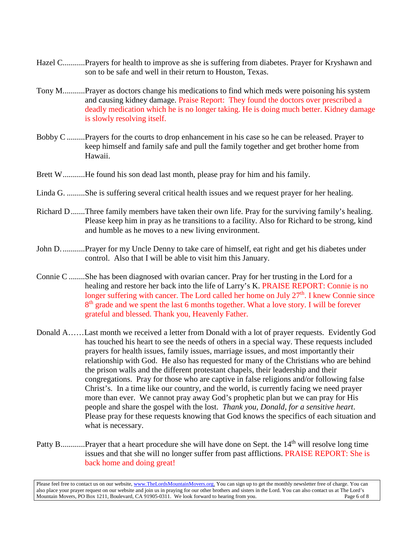- Hazel C...........Prayers for health to improve as she is suffering from diabetes. Prayer for Kryshawn and son to be safe and well in their return to Houston, Texas.
- Tony M...........Prayer as doctors change his medications to find which meds were poisoning his system and causing kidney damage. Praise Report: They found the doctors over prescribed a deadly medication which he is no longer taking. He is doing much better. Kidney damage is slowly resolving itself.
- Bobby C .........Prayers for the courts to drop enhancement in his case so he can be released. Prayer to keep himself and family safe and pull the family together and get brother home from Hawaii.
- Brett W...........He found his son dead last month, please pray for him and his family.
- Linda G. .........She is suffering several critical health issues and we request prayer for her healing.
- Richard D.......Three family members have taken their own life. Pray for the surviving family's healing. Please keep him in pray as he transitions to a facility. Also for Richard to be strong, kind and humble as he moves to a new living environment.
- John D. ...........Prayer for my Uncle Denny to take care of himself, eat right and get his diabetes under control. Also that I will be able to visit him this January.
- Connie C ........She has been diagnosed with ovarian cancer. Pray for her trusting in the Lord for a healing and restore her back into the life of Larry's K. PRAISE REPORT: Connie is no longer suffering with cancer. The Lord called her home on July  $27<sup>th</sup>$ . I knew Connie since 8<sup>th</sup> grade and we spent the last 6 months together. What a love story. I will be forever grateful and blessed. Thank you, Heavenly Father.
- Donald A……Last month we received a letter from Donald with a lot of prayer requests. Evidently God has touched his heart to see the needs of others in a special way. These requests included prayers for health issues, family issues, marriage issues, and most importantly their relationship with God. He also has requested for many of the Christians who are behind the prison walls and the different protestant chapels, their leadership and their congregations. Pray for those who are captive in false religions and/or following false Christ's. In a time like our country, and the world, is currently facing we need prayer more than ever. We cannot pray away God's prophetic plan but we can pray for His people and share the gospel with the lost. *Thank you, Donald, for a sensitive heart*. Please pray for these requests knowing that God knows the specifics of each situation and what is necessary.
- Patty B............Prayer that a heart procedure she will have done on Sept. the 14<sup>th</sup> will resolve long time issues and that she will no longer suffer from past afflictions. PRAISE REPORT: She is back home and doing great!

Please feel free to contact us on our website, ww[w.TheLordsMountainMovers.o](http://www.thelordsmountainmovers.org/)rg. You can sign up to get the monthly newsletter free of charge. You can also place your prayer request on our website and join us in praying for our other brothers and sisters in the Lord. You can also contact us at The Lord's Mountain Movers, PO Box 1211, Boulevard, CA 91905-0311. We look forward to hearing from you.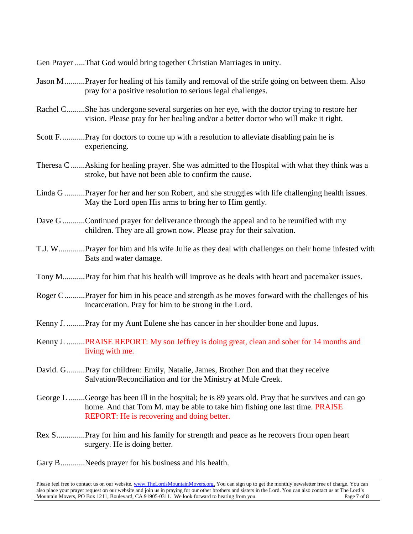Gen Prayer .....That God would bring together Christian Marriages in unity.

- Jason M..........Prayer for healing of his family and removal of the strife going on between them. Also pray for a positive resolution to serious legal challenges.
- Rachel C.........She has undergone several surgeries on her eye, with the doctor trying to restore her vision. Please pray for her healing and/or a better doctor who will make it right.
- Scott F. ............Pray for doctors to come up with a resolution to alleviate disabling pain he is experiencing.
- Theresa C .......Asking for healing prayer. She was admitted to the Hospital with what they think was a stroke, but have not been able to confirm the cause.
- Linda G ..........Prayer for her and her son Robert, and she struggles with life challenging health issues. May the Lord open His arms to bring her to Him gently.
- Dave G ...........Continued prayer for deliverance through the appeal and to be reunified with my children. They are all grown now. Please pray for their salvation.
- T.J. W.............Prayer for him and his wife Julie as they deal with challenges on their home infested with Bats and water damage.
- Tony M...........Pray for him that his health will improve as he deals with heart and pacemaker issues.
- Roger C..........Prayer for him in his peace and strength as he moves forward with the challenges of his incarceration. Pray for him to be strong in the Lord.
- Kenny J. .........Pray for my Aunt Eulene she has cancer in her shoulder bone and lupus.
- Kenny J. .........PRAISE REPORT: My son Jeffrey is doing great, clean and sober for 14 months and living with me.
- David. G.........Pray for children: Emily, Natalie, James, Brother Don and that they receive Salvation/Reconciliation and for the Ministry at Mule Creek.
- George L ........George has been ill in the hospital; he is 89 years old. Pray that he survives and can go home. And that Tom M. may be able to take him fishing one last time. PRAISE REPORT: He is recovering and doing better.
- Rex S..............Pray for him and his family for strength and peace as he recovers from open heart surgery. He is doing better.
- Gary B............Needs prayer for his business and his health.

Please feel free to contact us on our website, ww[w.TheLordsMountainMovers.o](http://www.thelordsmountainmovers.org/)rg. You can sign up to get the monthly newsletter free of charge. You can also place your prayer request on our website and join us in praying for our other brothers and sisters in the Lord. You can also contact us at The Lord's Mountain Movers, PO Box 1211, Boulevard, CA 91905-0311. We look forward to hearing from you.